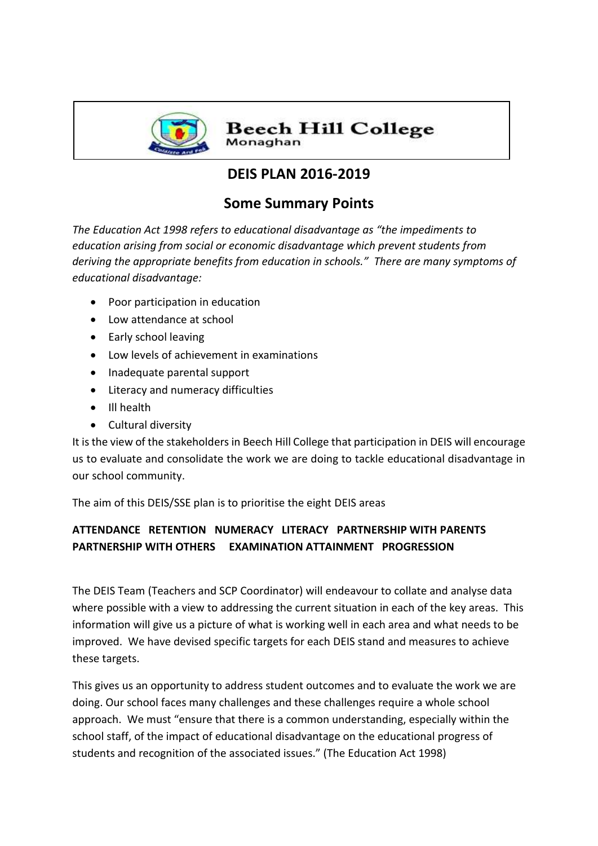

**Beech Hill College** Monaghan

# **DEIS PLAN 2016-2019**

## **Some Summary Points**

*The Education Act 1998 refers to educational disadvantage as "the impediments to education arising from social or economic disadvantage which prevent students from deriving the appropriate benefits from education in schools." There are many symptoms of educational disadvantage:*

- Poor participation in education
- Low attendance at school
- Early school leaving
- Low levels of achievement in examinations
- Inadequate parental support
- Literacy and numeracy difficulties
- Ill health
- Cultural diversity

It is the view of the stakeholders in Beech Hill College that participation in DEIS will encourage us to evaluate and consolidate the work we are doing to tackle educational disadvantage in our school community.

The aim of this DEIS/SSE plan is to prioritise the eight DEIS areas

### **ATTENDANCE RETENTION NUMERACY LITERACY PARTNERSHIP WITH PARENTS PARTNERSHIP WITH OTHERS EXAMINATION ATTAINMENT PROGRESSION**

The DEIS Team (Teachers and SCP Coordinator) will endeavour to collate and analyse data where possible with a view to addressing the current situation in each of the key areas. This information will give us a picture of what is working well in each area and what needs to be improved. We have devised specific targets for each DEIS stand and measures to achieve these targets.

This gives us an opportunity to address student outcomes and to evaluate the work we are doing. Our school faces many challenges and these challenges require a whole school approach. We must "ensure that there is a common understanding, especially within the school staff, of the impact of educational disadvantage on the educational progress of students and recognition of the associated issues." (The Education Act 1998)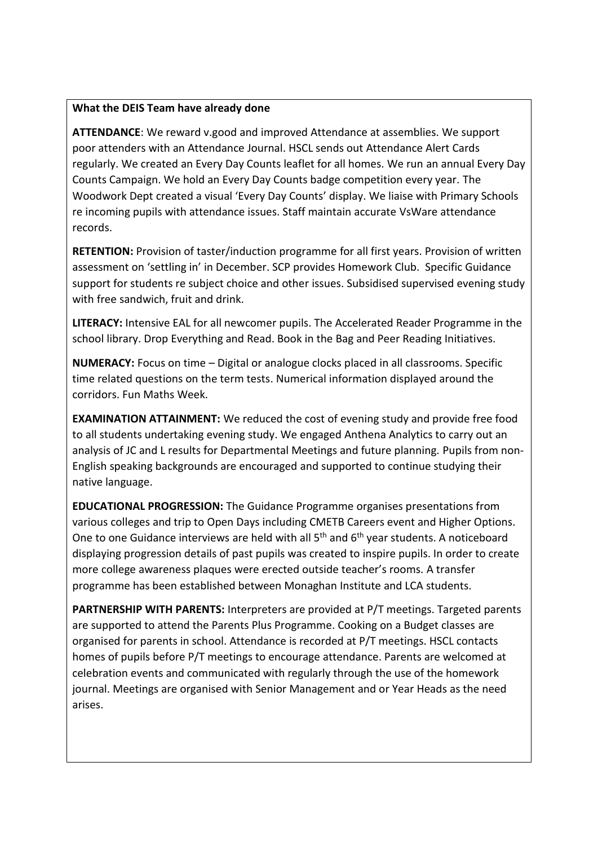#### **What the DEIS Team have already done**

**ATTENDANCE**: We reward v.good and improved Attendance at assemblies. We support poor attenders with an Attendance Journal. HSCL sends out Attendance Alert Cards regularly. We created an Every Day Counts leaflet for all homes. We run an annual Every Day Counts Campaign. We hold an Every Day Counts badge competition every year. The Woodwork Dept created a visual 'Every Day Counts' display. We liaise with Primary Schools re incoming pupils with attendance issues. Staff maintain accurate VsWare attendance records.

**RETENTION:** Provision of taster/induction programme for all first years. Provision of written assessment on 'settling in' in December. SCP provides Homework Club. Specific Guidance support for students re subject choice and other issues. Subsidised supervised evening study with free sandwich, fruit and drink.

**LITERACY:** Intensive EAL for all newcomer pupils. The Accelerated Reader Programme in the school library. Drop Everything and Read. Book in the Bag and Peer Reading Initiatives.

**NUMERACY:** Focus on time – Digital or analogue clocks placed in all classrooms. Specific time related questions on the term tests. Numerical information displayed around the corridors. Fun Maths Week.

**EXAMINATION ATTAINMENT:** We reduced the cost of evening study and provide free food to all students undertaking evening study. We engaged Anthena Analytics to carry out an analysis of JC and L results for Departmental Meetings and future planning. Pupils from non-English speaking backgrounds are encouraged and supported to continue studying their native language.

**EDUCATIONAL PROGRESSION:** The Guidance Programme organises presentations from various colleges and trip to Open Days including CMETB Careers event and Higher Options. One to one Guidance interviews are held with all 5<sup>th</sup> and 6<sup>th</sup> year students. A noticeboard displaying progression details of past pupils was created to inspire pupils. In order to create more college awareness plaques were erected outside teacher's rooms. A transfer programme has been established between Monaghan Institute and LCA students.

**PARTNERSHIP WITH PARENTS:** Interpreters are provided at P/T meetings. Targeted parents are supported to attend the Parents Plus Programme. Cooking on a Budget classes are organised for parents in school. Attendance is recorded at P/T meetings. HSCL contacts homes of pupils before P/T meetings to encourage attendance. Parents are welcomed at celebration events and communicated with regularly through the use of the homework journal. Meetings are organised with Senior Management and or Year Heads as the need arises.